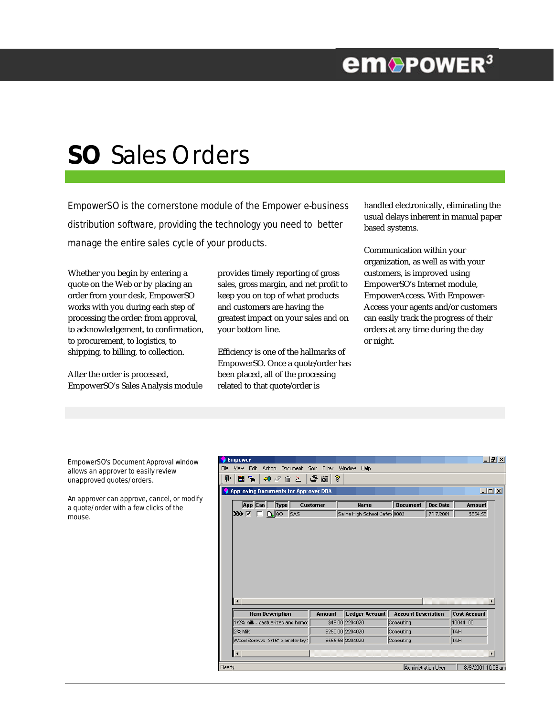## **em**®PowER<sup>3</sup>

# **SO** Sales Orders

EmpowerSO is the cornerstone module of the Empower e-business distribution software, providing the technology you need to better manage the entire sales cycle of your products.

Whether you begin by entering a quote on the Web or by placing an order from your desk, EmpowerSO works with you during each step of processing the order: from approval, to acknowledgement, to confirmation, to procurement, to logistics, to shipping, to billing, to collection.

After the order is processed, EmpowerSO's Sales Analysis module

provides timely reporting of gross sales, gross margin, and net profit to keep you on top of what products and customers are having the greatest impact on your sales and on your bottom line.

Efficiency is one of the hallmarks of EmpowerSO. Once a quote/order has been placed, all of the processing related to that quote/order is

handled electronically, eliminating the usual delays inherent in manual paper based systems.

Communication within your organization, as well as with your customers, is improved using EmpowerSO's Internet module, EmpowerAccess. With Empower-Access your agents and/or customers can easily track the progress of their orders at any time during the day or night.

EmpowerSO's Document Approval window allows an approver to easily review unapproved quotes/orders.

An approver can approve, cancel, or modify a quote/order with a few clicks of the mouse.

| <b>Empower</b>                                                 |                 |                               |                            |                 |                     | $   \times$ |  |  |  |  |  |  |
|----------------------------------------------------------------|-----------------|-------------------------------|----------------------------|-----------------|---------------------|-------------|--|--|--|--|--|--|
| Action Document Sort Filter<br>View<br>Edit<br>Eile            |                 | Window<br>Help                |                            |                 |                     |             |  |  |  |  |  |  |
| Ū.<br>⊞<br>뤜<br><b>30 ∂ m ≥</b>                                | P<br>手前         |                               |                            |                 |                     |             |  |  |  |  |  |  |
| $\Box$ o $\Box$<br><b>Approving Documents for Approver DBA</b> |                 |                               |                            |                 |                     |             |  |  |  |  |  |  |
| App Can<br>Type                                                | <b>Customer</b> | <b>Name</b>                   | <b>Document</b>            | <b>Doc Date</b> | <b>Amount</b>       |             |  |  |  |  |  |  |
| ⋙⊡<br>n loo<br>SAS                                             |                 | Saline High School Cafet 0083 |                            | 7/17/2001       | \$854.56            |             |  |  |  |  |  |  |
| $\left  \cdot \right $                                         |                 |                               |                            |                 |                     |             |  |  |  |  |  |  |
| <b>Item Description</b>                                        | Amount          | Ledger Account                | <b>Account Description</b> |                 | <b>Cost Account</b> |             |  |  |  |  |  |  |
| 1/2% milk - pastuerized and homor                              |                 | \$49.00 2204020               | Consulting                 |                 | 10044 00            |             |  |  |  |  |  |  |
| 2% Milk                                                        |                 | \$250.00 2204020              | Consulting                 |                 | TAH                 |             |  |  |  |  |  |  |
| Wood Screws 3/16" diameter by:                                 |                 | \$555.56 2204020              | Consulting                 |                 | TAH                 |             |  |  |  |  |  |  |
| П                                                              |                 |                               |                            |                 |                     |             |  |  |  |  |  |  |
| Ready                                                          |                 |                               | <b>Administration User</b> |                 | 8/9/2001 10:59 am   |             |  |  |  |  |  |  |